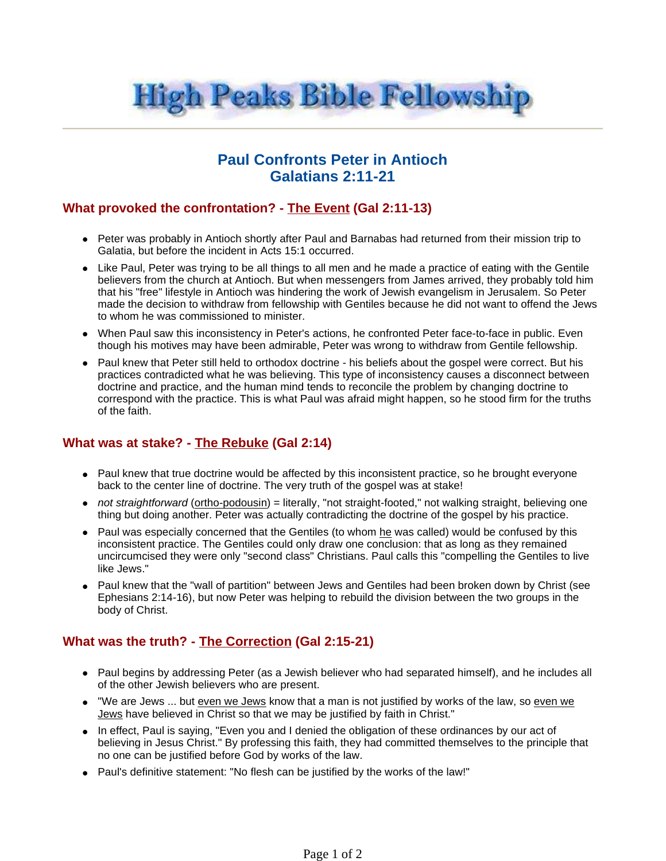

## **Paul Confronts Peter in Antioch Galatians 2:11-21**

## **What provoked the confrontation? - The Event (Gal 2:11-13)**

- Peter was probably in Antioch shortly after Paul and Barnabas had returned from their mission trip to Galatia, but before the incident in Acts 15:1 occurred.
- Like Paul, Peter was trying to be all things to all men and he made a practice of eating with the Gentile believers from the church at Antioch. But when messengers from James arrived, they probably told him that his "free" lifestyle in Antioch was hindering the work of Jewish evangelism in Jerusalem. So Peter made the decision to withdraw from fellowship with Gentiles because he did not want to offend the Jews to whom he was commissioned to minister.
- When Paul saw this inconsistency in Peter's actions, he confronted Peter face-to-face in public. Even though his motives may have been admirable, Peter was wrong to withdraw from Gentile fellowship.
- Paul knew that Peter still held to orthodox doctrine his beliefs about the gospel were correct. But his practices contradicted what he was believing. This type of inconsistency causes a disconnect between doctrine and practice, and the human mind tends to reconcile the problem by changing doctrine to correspond with the practice. This is what Paul was afraid might happen, so he stood firm for the truths of the faith.

## **What was at stake? - The Rebuke (Gal 2:14)**

- Paul knew that true doctrine would be affected by this inconsistent practice, so he brought everyone back to the center line of doctrine. The very truth of the gospel was at stake!
- not straightforward (ortho-podousin) = literally, "not straight-footed," not walking straight, believing one thing but doing another. Peter was actually contradicting the doctrine of the gospel by his practice.
- Paul was especially concerned that the Gentiles (to whom he was called) would be confused by this inconsistent practice. The Gentiles could only draw one conclusion: that as long as they remained uncircumcised they were only "second class" Christians. Paul calls this "compelling the Gentiles to live like Jews."
- Paul knew that the "wall of partition" between Jews and Gentiles had been broken down by Christ (see Ephesians 2:14-16), but now Peter was helping to rebuild the division between the two groups in the body of Christ.

## **What was the truth? - The Correction (Gal 2:15-21)**

- Paul begins by addressing Peter (as a Jewish believer who had separated himself), and he includes all of the other Jewish believers who are present.
- "We are Jews ... but even we Jews know that a man is not justified by works of the law, so even we Jews have believed in Christ so that we may be justified by faith in Christ."
- In effect, Paul is saying, "Even you and I denied the obligation of these ordinances by our act of believing in Jesus Christ." By professing this faith, they had committed themselves to the principle that no one can be justified before God by works of the law.
- Paul's definitive statement: "No flesh can be justified by the works of the law!"